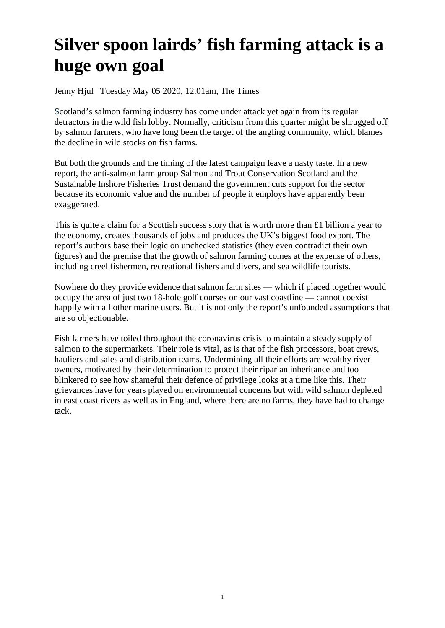## **Silver spoon lairds' fish farming attack is a huge own goal**

Jenny Hjul Tuesday May 05 2020, 12.01am, The Times

Scotland's salmon farming industry has come under attack yet again from its regular detractors in the wild fish lobby. Normally, criticism from this quarter might be shrugged off by salmon farmers, who have long been the target of the angling community, which blames the decline in wild stocks on fish farms.

But both the grounds and the timing of the latest campaign leave a nasty taste. In a new report, the anti-salmon farm group Salmon and Trout Conservation Scotland and the Sustainable Inshore Fisheries Trust demand the government cuts support for the sector because its economic value and the number of people it employs have apparently been exaggerated.

This is quite a claim for a Scottish success story that is worth more than £1 billion a year to the economy, creates thousands of jobs and produces the UK's biggest food export. The report's authors base their logic on unchecked statistics (they even contradict their own figures) and the premise that the growth of salmon farming comes at the expense of others, including creel fishermen, recreational fishers and divers, and sea wildlife tourists.

Nowhere do they provide evidence that salmon farm sites — which if placed together would occupy the area of just two 18-hole golf courses on our vast coastline — cannot coexist happily with all other marine users. But it is not only the report's unfounded assumptions that are so objectionable.

Fish farmers have toiled throughout the coronavirus crisis to maintain a steady supply of salmon to the supermarkets. Their role is vital, as is that of the fish processors, boat crews, hauliers and sales and distribution teams. Undermining all their efforts are wealthy river owners, motivated by their determination to protect their riparian inheritance and too blinkered to see how shameful their defence of privilege looks at a time like this. Their grievances have for years played on environmental concerns but with wild salmon depleted in east coast rivers as well as in England, where there are no farms, they have had to change tack.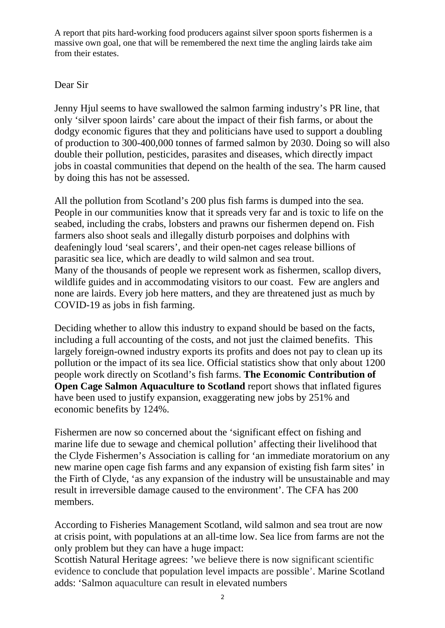A report that pits hard-working food producers against silver spoon sports fishermen is a massive own goal, one that will be remembered the next time the angling lairds take aim from their estates.

## Dear Sir

Jenny Hjul seems to have swallowed the salmon farming industry's PR line, that only 'silver spoon lairds' care about the impact of their fish farms, or about the dodgy economic figures that they and politicians have used to support a doubling of production to 300-400,000 tonnes of farmed salmon by 2030. Doing so will also double their pollution, pesticides, parasites and diseases, which directly impact jobs in coastal communities that depend on the health of the sea. The harm caused by doing this has not be assessed.

All the pollution from Scotland's 200 plus fish farms is dumped into the sea. People in our communities know that it spreads very far and is toxic to life on the seabed, including the crabs, lobsters and prawns our fishermen depend on. Fish farmers also shoot seals and illegally disturb porpoises and dolphins with deafeningly loud 'seal scarers', and their open-net cages release billions of parasitic sea lice, which are deadly to wild salmon and sea trout. Many of the thousands of people we represent work as fishermen, scallop divers, wildlife guides and in accommodating visitors to our coast. Few are anglers and none are lairds. Every job here matters, and they are threatened just as much by COVID-19 as jobs in fish farming.

Deciding whether to allow this industry to expand should be based on the facts, including a full accounting of the costs, and not just the claimed benefits. This largely foreign-owned industry exports its profits and does not pay to clean up its pollution or the impact of its sea lice. Official statistics show that only about 1200 people work directly on Scotland's fish farms. **The Economic Contribution of Open Cage Salmon Aquaculture to Scotland** report shows that inflated figures have been used to justify expansion, exaggerating new jobs by 251% and economic benefits by 124%.

Fishermen are now so concerned about the 'significant effect on fishing and marine life due to sewage and chemical pollution' affecting their livelihood that the Clyde Fishermen's Association is calling for 'an immediate moratorium on any new marine open cage fish farms and any expansion of existing fish farm sites' in the Firth of Clyde, 'as any expansion of the industry will be unsustainable and may result in irreversible damage caused to the environment'. The CFA has 200 members.

According to Fisheries Management Scotland, wild salmon and sea trout are now at crisis point, with populations at an all-time low. Sea lice from farms are not the only problem but they can have a huge impact:

Scottish Natural Heritage agrees: 'we believe there is now significant scientific evidence to conclude that population level impacts are possible'. Marine Scotland adds: 'Salmon aquaculture can result in elevated numbers